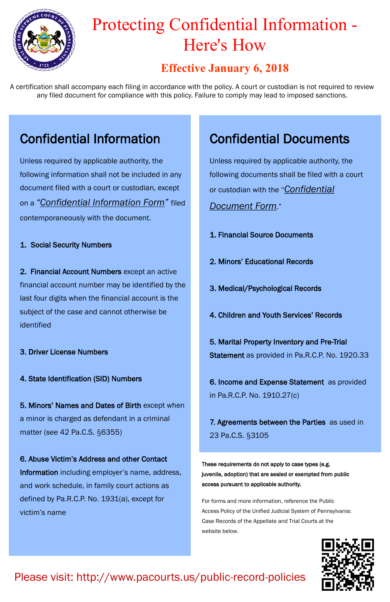#### **Effective January 6, 2018**

## Confidential Information

Unless required by applicable authority, the following information shall not be included in any document filed with a court or custodian, except on a *"Confidential Information Form"* filed contemporaneously with the document.

#### 1. Social Security Numbers

2. Financial Account Numbers except an active financial account number may be identified by the last four digits when the financial account is the subject of the case and cannot otherwise be identified

- 3. Driver License Numbers
- 4. State Identification (SID) Numbers

5. Minors' Names and Dates of Birth except when a minor is charged as defendant in a criminal matter (see 42 Pa.C.S. §6355)

6. Abuse Victim's Address and other Contact Information including employer's name, address, and work schedule, in family court actions as defined by Pa.R.C.P. No. 1931(a), except for victim's name

## Confidential Documents

Unless required by applicable authority, the following documents shall be filed with a court or custodian with the "*Confidential Document Form*."

- 1. Financial Source Documents
- 2. Minors' Educational Records
- 3. Medical/Psychological Records
- 4. Children and Youth Services' Records

5. Marital Property Inventory and Pre-Trial Statement as provided in Pa.R.C.P. No. 1920.33

6. Income and Expense Statement as provided in Pa.R.C.P. No. 1910.27(c)

7. Agreements between the Parties as used in 23 Pa.C.S. §3105

These requirements do not apply to case types (e.g. juvenile, adoption) that are sealed or exempted from public access pursuant to applicable authority.

For forms and more information, reference the Public Access Policy of the Unified Judicial System of Pennsylvania: Case Records of the Appellate and Trial Courts at the website below.

A certification shall accompany each filing in accordance with the policy. A court or custodian is not required to review any filed document for compliance with this policy. Failure to comply may lead to imposed sanctions.

### Please visit: http://www.pacourts.us/public-record-policies





# Protecting Confidential Information - Here's How